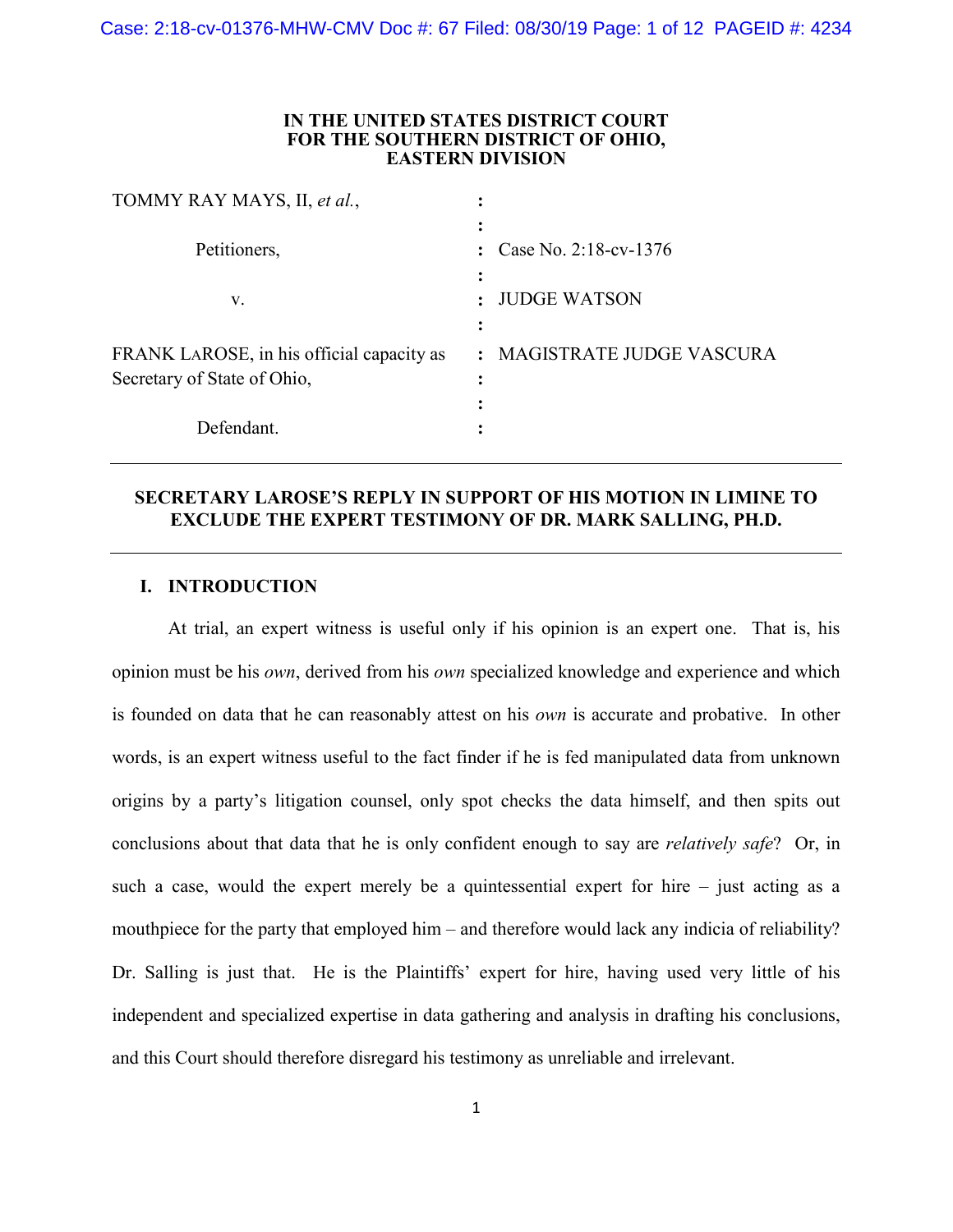### **IN THE UNITED STATES DISTRICT COURT FOR THE SOUTHERN DISTRICT OF OHIO, EASTERN DIVISION**

| TOMMY RAY MAYS, II, et al.,                                              |                                            |
|--------------------------------------------------------------------------|--------------------------------------------|
| Petitioners,                                                             | Case No. 2:18-cv-1376                      |
| V.                                                                       | <b>JUDGE WATSON</b>                        |
| FRANK LAROSE, in his official capacity as<br>Secretary of State of Ohio, | MAGISTRATE JUDGE VASCURA<br>$\ddot{\cdot}$ |
| Defendant.                                                               |                                            |

# **SECRETARY LAROSE'S REPLY IN SUPPORT OF HIS MOTION IN LIMINE TO EXCLUDE THE EXPERT TESTIMONY OF DR. MARK SALLING, PH.D.**

## **I. INTRODUCTION**

At trial, an expert witness is useful only if his opinion is an expert one. That is, his opinion must be his *own*, derived from his *own* specialized knowledge and experience and which is founded on data that he can reasonably attest on his *own* is accurate and probative. In other words, is an expert witness useful to the fact finder if he is fed manipulated data from unknown origins by a party's litigation counsel, only spot checks the data himself, and then spits out conclusions about that data that he is only confident enough to say are *relatively safe*? Or, in such a case, would the expert merely be a quintessential expert for hire – just acting as a mouthpiece for the party that employed him – and therefore would lack any indicia of reliability? Dr. Salling is just that. He is the Plaintiffs' expert for hire, having used very little of his independent and specialized expertise in data gathering and analysis in drafting his conclusions, and this Court should therefore disregard his testimony as unreliable and irrelevant.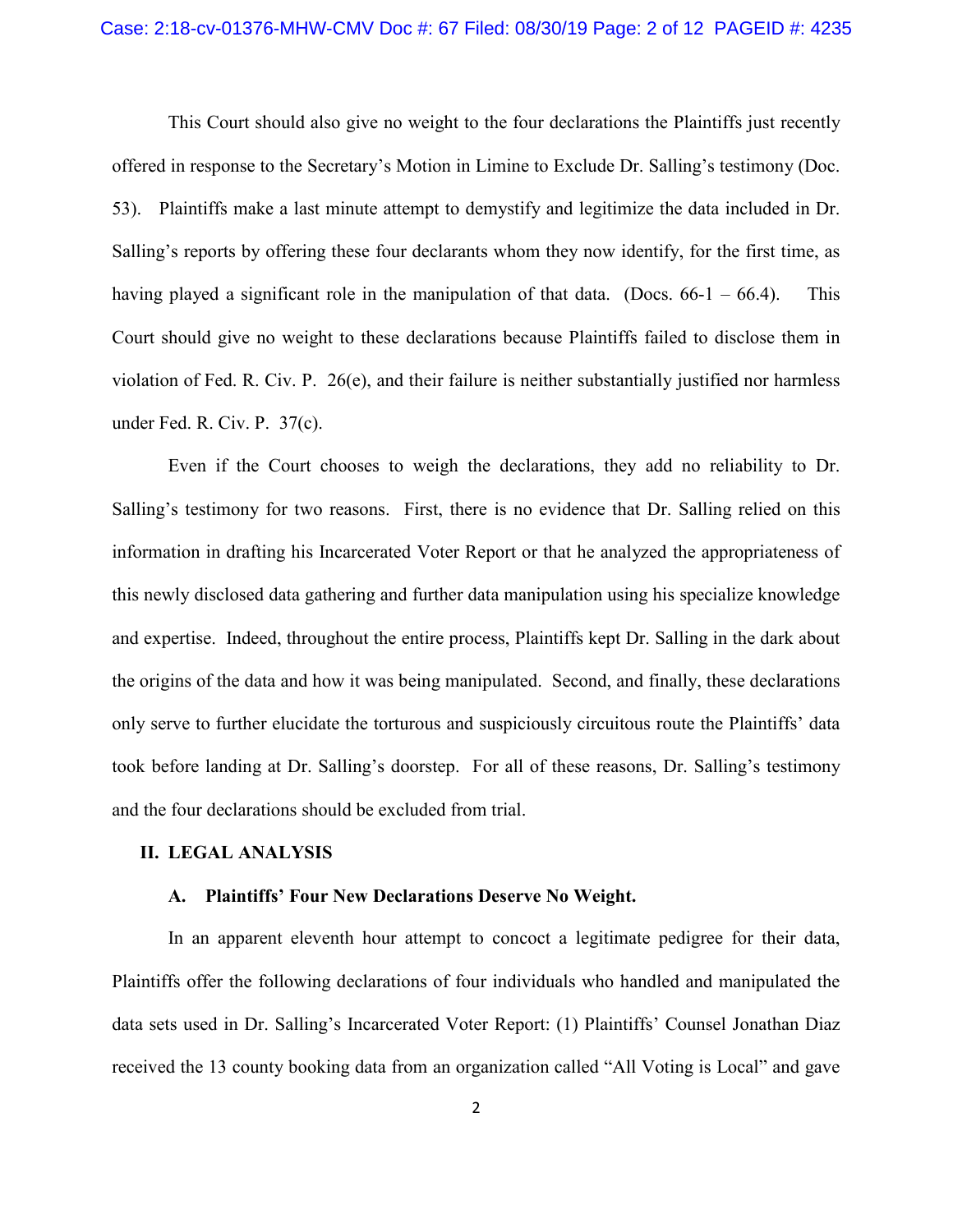### Case: 2:18-cv-01376-MHW-CMV Doc #: 67 Filed: 08/30/19 Page: 2 of 12 PAGEID #: 4235

This Court should also give no weight to the four declarations the Plaintiffs just recently offered in response to the Secretary's Motion in Limine to Exclude Dr. Salling's testimony (Doc. 53). Plaintiffs make a last minute attempt to demystify and legitimize the data included in Dr. Salling's reports by offering these four declarants whom they now identify, for the first time, as having played a significant role in the manipulation of that data. (Docs.  $66-1 - 66.4$ ). This Court should give no weight to these declarations because Plaintiffs failed to disclose them in violation of Fed. R. Civ. P. 26(e), and their failure is neither substantially justified nor harmless under Fed. R. Civ. P. 37(c).

Even if the Court chooses to weigh the declarations, they add no reliability to Dr. Salling's testimony for two reasons. First, there is no evidence that Dr. Salling relied on this information in drafting his Incarcerated Voter Report or that he analyzed the appropriateness of this newly disclosed data gathering and further data manipulation using his specialize knowledge and expertise. Indeed, throughout the entire process, Plaintiffs kept Dr. Salling in the dark about the origins of the data and how it was being manipulated. Second, and finally, these declarations only serve to further elucidate the torturous and suspiciously circuitous route the Plaintiffs' data took before landing at Dr. Salling's doorstep. For all of these reasons, Dr. Salling's testimony and the four declarations should be excluded from trial.

### **II. LEGAL ANALYSIS**

### **A. Plaintiffs' Four New Declarations Deserve No Weight.**

In an apparent eleventh hour attempt to concoct a legitimate pedigree for their data, Plaintiffs offer the following declarations of four individuals who handled and manipulated the data sets used in Dr. Salling's Incarcerated Voter Report: (1) Plaintiffs' Counsel Jonathan Diaz received the 13 county booking data from an organization called "All Voting is Local" and gave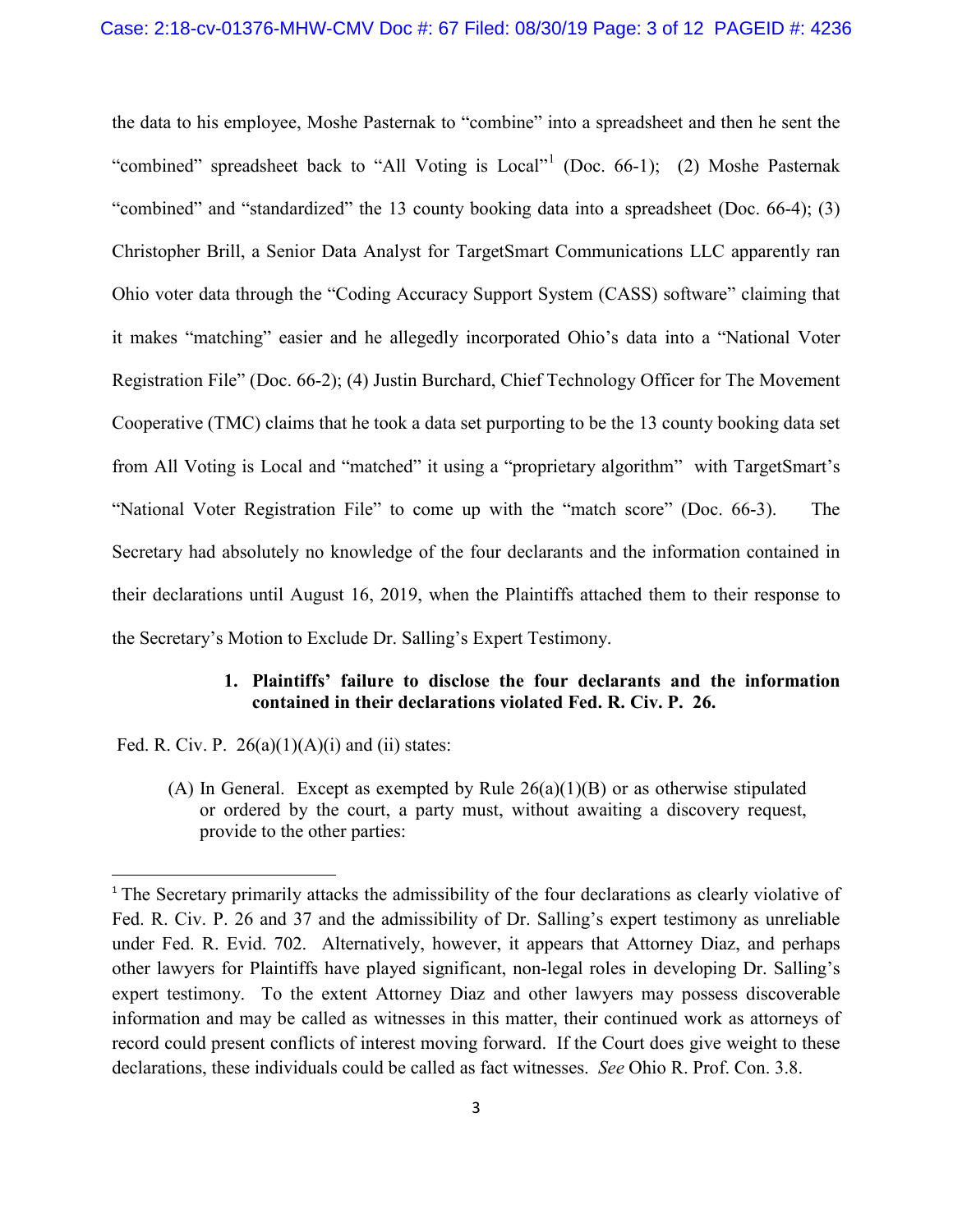the data to his employee, Moshe Pasternak to "combine" into a spreadsheet and then he sent the "combined" spreadsheet back to "All Voting is Local"<sup>[1](#page-2-0)</sup> (Doc. 66-1); (2) Moshe Pasternak "combined" and "standardized" the 13 county booking data into a spreadsheet (Doc. 66-4); (3) Christopher Brill, a Senior Data Analyst for TargetSmart Communications LLC apparently ran Ohio voter data through the "Coding Accuracy Support System (CASS) software" claiming that it makes "matching" easier and he allegedly incorporated Ohio's data into a "National Voter Registration File" (Doc. 66-2); (4) Justin Burchard, Chief Technology Officer for The Movement Cooperative (TMC) claims that he took a data set purporting to be the 13 county booking data set from All Voting is Local and "matched" it using a "proprietary algorithm" with TargetSmart's "National Voter Registration File" to come up with the "match score" (Doc. 66-3). The Secretary had absolutely no knowledge of the four declarants and the information contained in their declarations until August 16, 2019, when the Plaintiffs attached them to their response to the Secretary's Motion to Exclude Dr. Salling's Expert Testimony.

### **1. Plaintiffs' failure to disclose the four declarants and the information contained in their declarations violated Fed. R. Civ. P. 26.**

Fed. R. Civ. P.  $26(a)(1)(A)(i)$  and (ii) states:

(A) In General. Except as exempted by Rule 26(a)(1)(B) or as otherwise stipulated or ordered by the court, a party must, without awaiting a discovery request, provide to the other parties:

<span id="page-2-0"></span><sup>&</sup>lt;sup>1</sup> The Secretary primarily attacks the admissibility of the four declarations as clearly violative of Fed. R. Civ. P. 26 and 37 and the admissibility of Dr. Salling's expert testimony as unreliable under Fed. R. Evid. 702. Alternatively, however, it appears that Attorney Diaz, and perhaps other lawyers for Plaintiffs have played significant, non-legal roles in developing Dr. Salling's expert testimony. To the extent Attorney Diaz and other lawyers may possess discoverable information and may be called as witnesses in this matter, their continued work as attorneys of record could present conflicts of interest moving forward. If the Court does give weight to these declarations, these individuals could be called as fact witnesses. *See* Ohio R. Prof. Con. 3.8.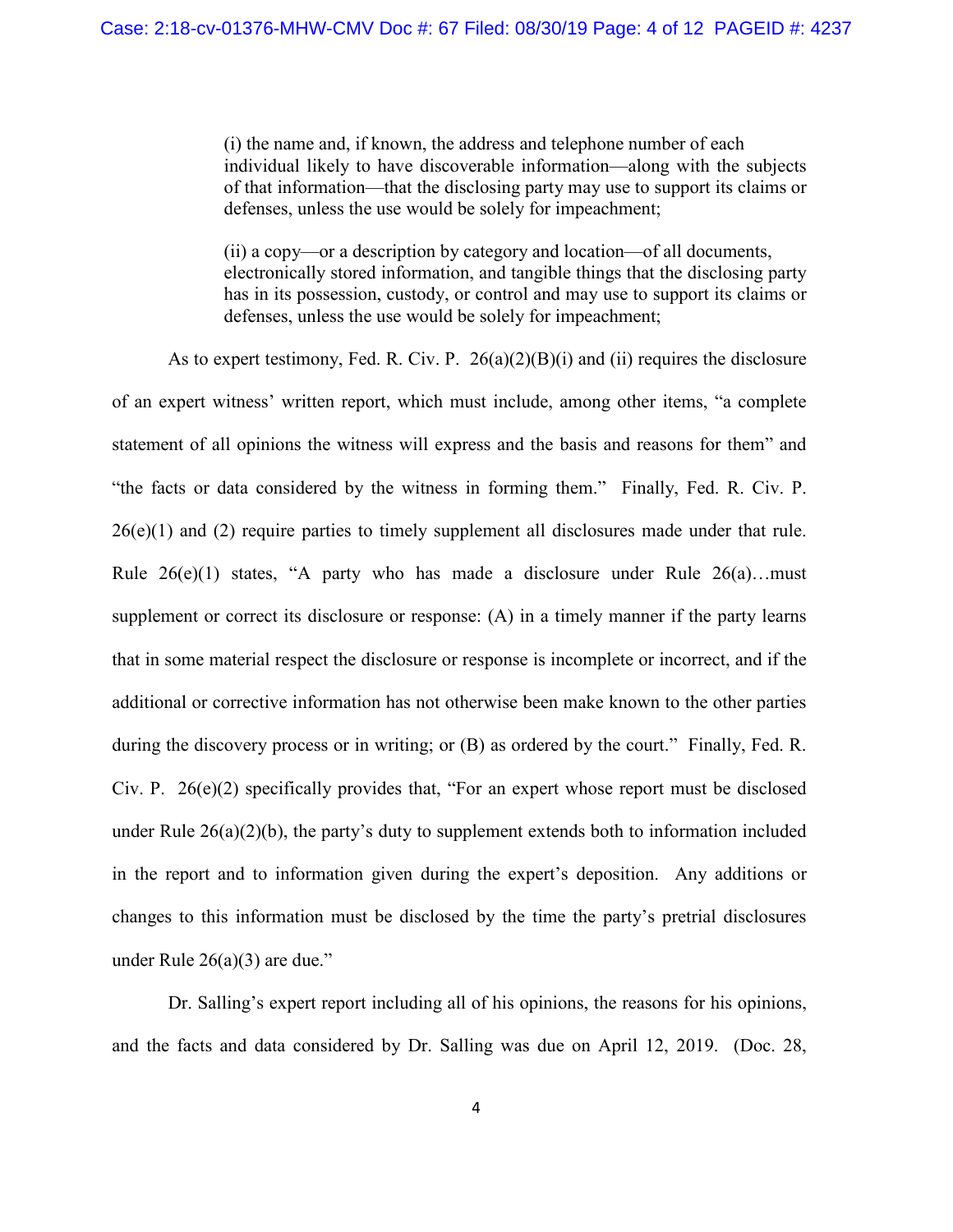(i) the name and, if known, the address and telephone number of each individual likely to have discoverable information—along with the subjects of that information—that the disclosing party may use to support its claims or defenses, unless the use would be solely for impeachment;

(ii) a copy—or a description by category and location—of all documents, electronically stored information, and tangible things that the disclosing party has in its possession, custody, or control and may use to support its claims or defenses, unless the use would be solely for impeachment;

As to expert testimony, Fed. R. Civ. P. 26(a)(2)(B)(i) and (ii) requires the disclosure of an expert witness' written report, which must include, among other items, "a complete statement of all opinions the witness will express and the basis and reasons for them" and "the facts or data considered by the witness in forming them." Finally, Fed. R. Civ. P. 26(e)(1) and (2) require parties to timely supplement all disclosures made under that rule. Rule  $26(e)(1)$  states, "A party who has made a disclosure under Rule  $26(a)$ ...must supplement or correct its disclosure or response: (A) in a timely manner if the party learns that in some material respect the disclosure or response is incomplete or incorrect, and if the additional or corrective information has not otherwise been make known to the other parties during the discovery process or in writing; or (B) as ordered by the court." Finally, Fed. R. Civ. P. 26(e)(2) specifically provides that, "For an expert whose report must be disclosed under Rule 26(a)(2)(b), the party's duty to supplement extends both to information included in the report and to information given during the expert's deposition. Any additions or changes to this information must be disclosed by the time the party's pretrial disclosures under Rule 26(a)(3) are due."

Dr. Salling's expert report including all of his opinions, the reasons for his opinions, and the facts and data considered by Dr. Salling was due on April 12, 2019. (Doc. 28,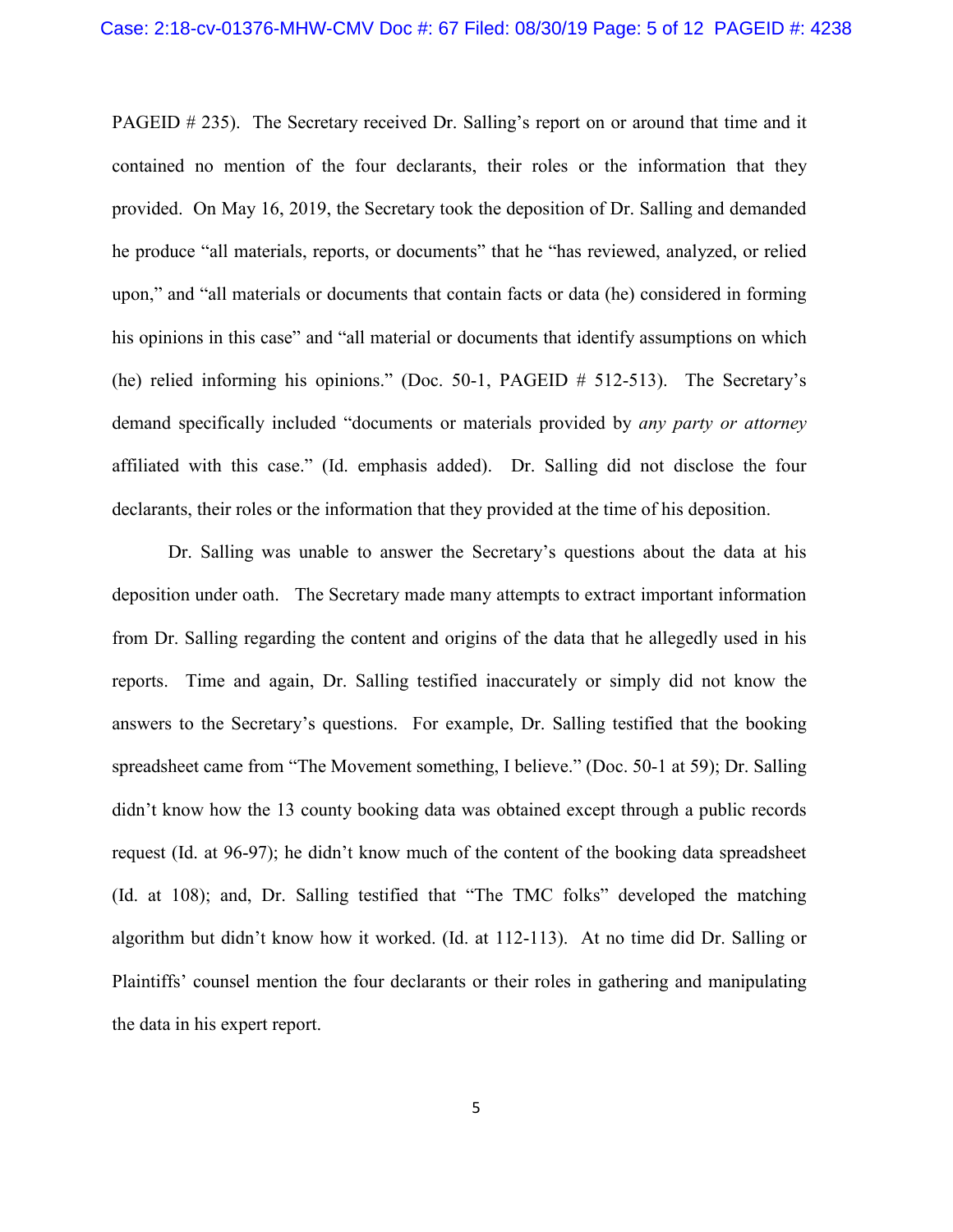PAGEID # 235). The Secretary received Dr. Salling's report on or around that time and it contained no mention of the four declarants, their roles or the information that they provided. On May 16, 2019, the Secretary took the deposition of Dr. Salling and demanded he produce "all materials, reports, or documents" that he "has reviewed, analyzed, or relied upon," and "all materials or documents that contain facts or data (he) considered in forming his opinions in this case" and "all material or documents that identify assumptions on which (he) relied informing his opinions." (Doc. 50-1, PAGEID # 512-513). The Secretary's demand specifically included "documents or materials provided by *any party or attorney* affiliated with this case." (Id. emphasis added). Dr. Salling did not disclose the four declarants, their roles or the information that they provided at the time of his deposition.

Dr. Salling was unable to answer the Secretary's questions about the data at his deposition under oath. The Secretary made many attempts to extract important information from Dr. Salling regarding the content and origins of the data that he allegedly used in his reports. Time and again, Dr. Salling testified inaccurately or simply did not know the answers to the Secretary's questions. For example, Dr. Salling testified that the booking spreadsheet came from "The Movement something, I believe." (Doc. 50-1 at 59); Dr. Salling didn't know how the 13 county booking data was obtained except through a public records request (Id. at 96-97); he didn't know much of the content of the booking data spreadsheet (Id. at 108); and, Dr. Salling testified that "The TMC folks" developed the matching algorithm but didn't know how it worked. (Id. at 112-113). At no time did Dr. Salling or Plaintiffs' counsel mention the four declarants or their roles in gathering and manipulating the data in his expert report.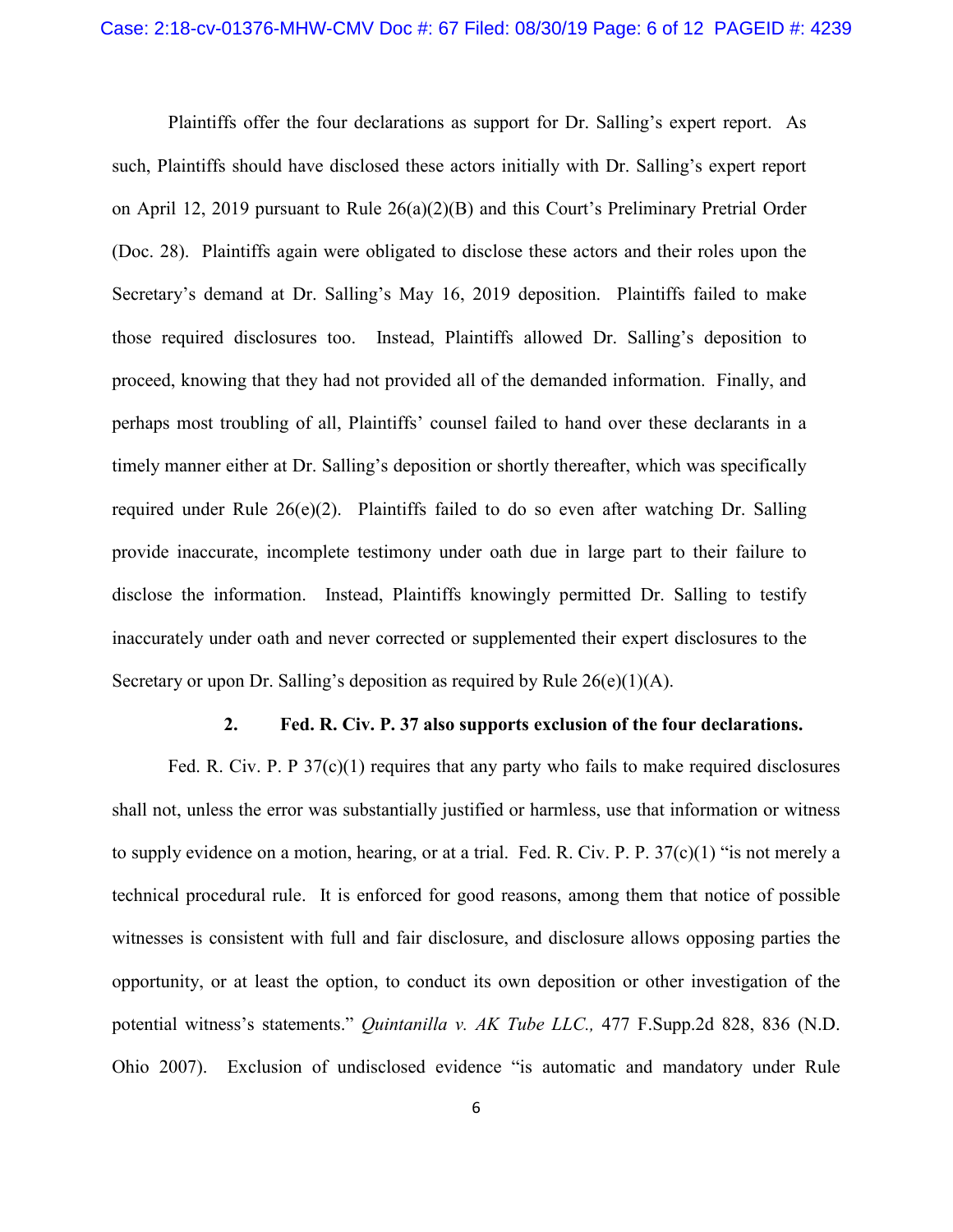Plaintiffs offer the four declarations as support for Dr. Salling's expert report. As such, Plaintiffs should have disclosed these actors initially with Dr. Salling's expert report on April 12, 2019 pursuant to Rule 26(a)(2)(B) and this Court's Preliminary Pretrial Order (Doc. 28). Plaintiffs again were obligated to disclose these actors and their roles upon the Secretary's demand at Dr. Salling's May 16, 2019 deposition. Plaintiffs failed to make those required disclosures too. Instead, Plaintiffs allowed Dr. Salling's deposition to proceed, knowing that they had not provided all of the demanded information. Finally, and perhaps most troubling of all, Plaintiffs' counsel failed to hand over these declarants in a timely manner either at Dr. Salling's deposition or shortly thereafter, which was specifically required under Rule  $26(e)(2)$ . Plaintiffs failed to do so even after watching Dr. Salling provide inaccurate, incomplete testimony under oath due in large part to their failure to disclose the information. Instead, Plaintiffs knowingly permitted Dr. Salling to testify inaccurately under oath and never corrected or supplemented their expert disclosures to the Secretary or upon Dr. Salling's deposition as required by Rule 26(e)(1)(A).

#### **2. Fed. R. Civ. P. 37 also supports exclusion of the four declarations.**

Fed. R. Civ. P. P 37(c)(1) requires that any party who fails to make required disclosures shall not, unless the error was substantially justified or harmless, use that information or witness to supply evidence on a motion, hearing, or at a trial. Fed. R. Civ. P. P.  $37(c)(1)$  "is not merely a technical procedural rule. It is enforced for good reasons, among them that notice of possible witnesses is consistent with full and fair disclosure, and disclosure allows opposing parties the opportunity, or at least the option, to conduct its own deposition or other investigation of the potential witness's statements." *Quintanilla v. AK Tube LLC.,* 477 F.Supp.2d 828, 836 (N.D. Ohio 2007). Exclusion of undisclosed evidence "is automatic and mandatory under Rule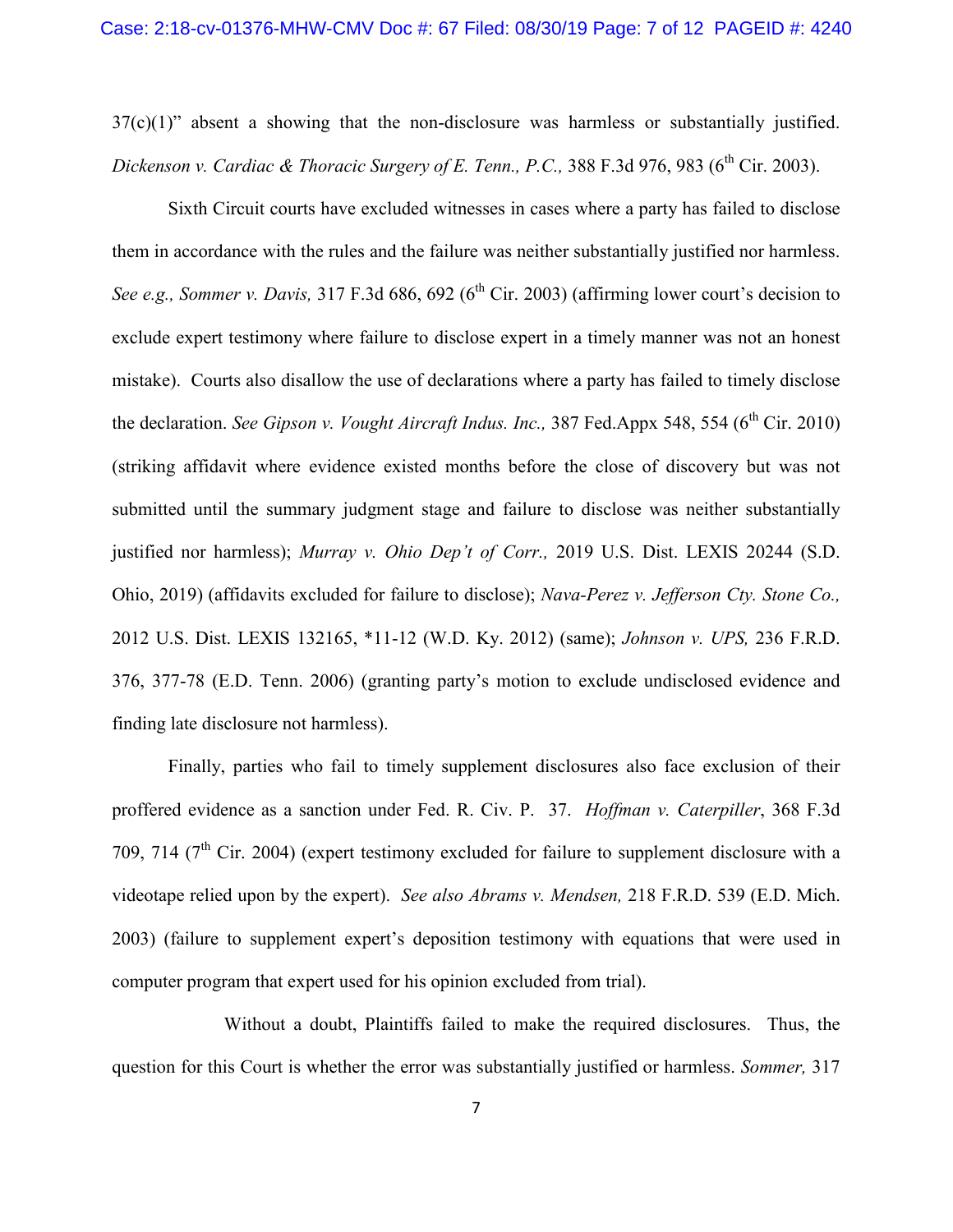37(c)(1)" absent a showing that the non-disclosure was harmless or substantially justified. *Dickenson v. Cardiac & Thoracic Surgery of E. Tenn., P.C., 388 F.3d 976, 983 (6<sup>th</sup> Cir. 2003).* 

Sixth Circuit courts have excluded witnesses in cases where a party has failed to disclose them in accordance with the rules and the failure was neither substantially justified nor harmless. *See e.g., Sommer v. Davis,* 317 F.3d 686, 692 (6<sup>th</sup> Cir. 2003) (affirming lower court's decision to exclude expert testimony where failure to disclose expert in a timely manner was not an honest mistake). Courts also disallow the use of declarations where a party has failed to timely disclose the declaration. *See Gipson v. Vought Aircraft Indus. Inc.*, 387 Fed.Appx 548, 554 (6<sup>th</sup> Cir. 2010) (striking affidavit where evidence existed months before the close of discovery but was not submitted until the summary judgment stage and failure to disclose was neither substantially justified nor harmless); *Murray v. Ohio Dep't of Corr.,* 2019 U.S. Dist. LEXIS 20244 (S.D. Ohio, 2019) (affidavits excluded for failure to disclose); *Nava-Perez v. Jefferson Cty. Stone Co.,*  2012 U.S. Dist. LEXIS 132165, \*11-12 (W.D. Ky. 2012) (same); *Johnson v. UPS,* 236 F.R.D. 376, 377-78 (E.D. Tenn. 2006) (granting party's motion to exclude undisclosed evidence and finding late disclosure not harmless).

Finally, parties who fail to timely supplement disclosures also face exclusion of their proffered evidence as a sanction under Fed. R. Civ. P. 37. *Hoffman v. Caterpiller*, 368 F.3d 709, 714 ( $7<sup>th</sup>$  Cir. 2004) (expert testimony excluded for failure to supplement disclosure with a videotape relied upon by the expert). *See also Abrams v. Mendsen,* 218 F.R.D. 539 (E.D. Mich. 2003) (failure to supplement expert's deposition testimony with equations that were used in computer program that expert used for his opinion excluded from trial).

Without a doubt, Plaintiffs failed to make the required disclosures. Thus, the question for this Court is whether the error was substantially justified or harmless. *Sommer,* 317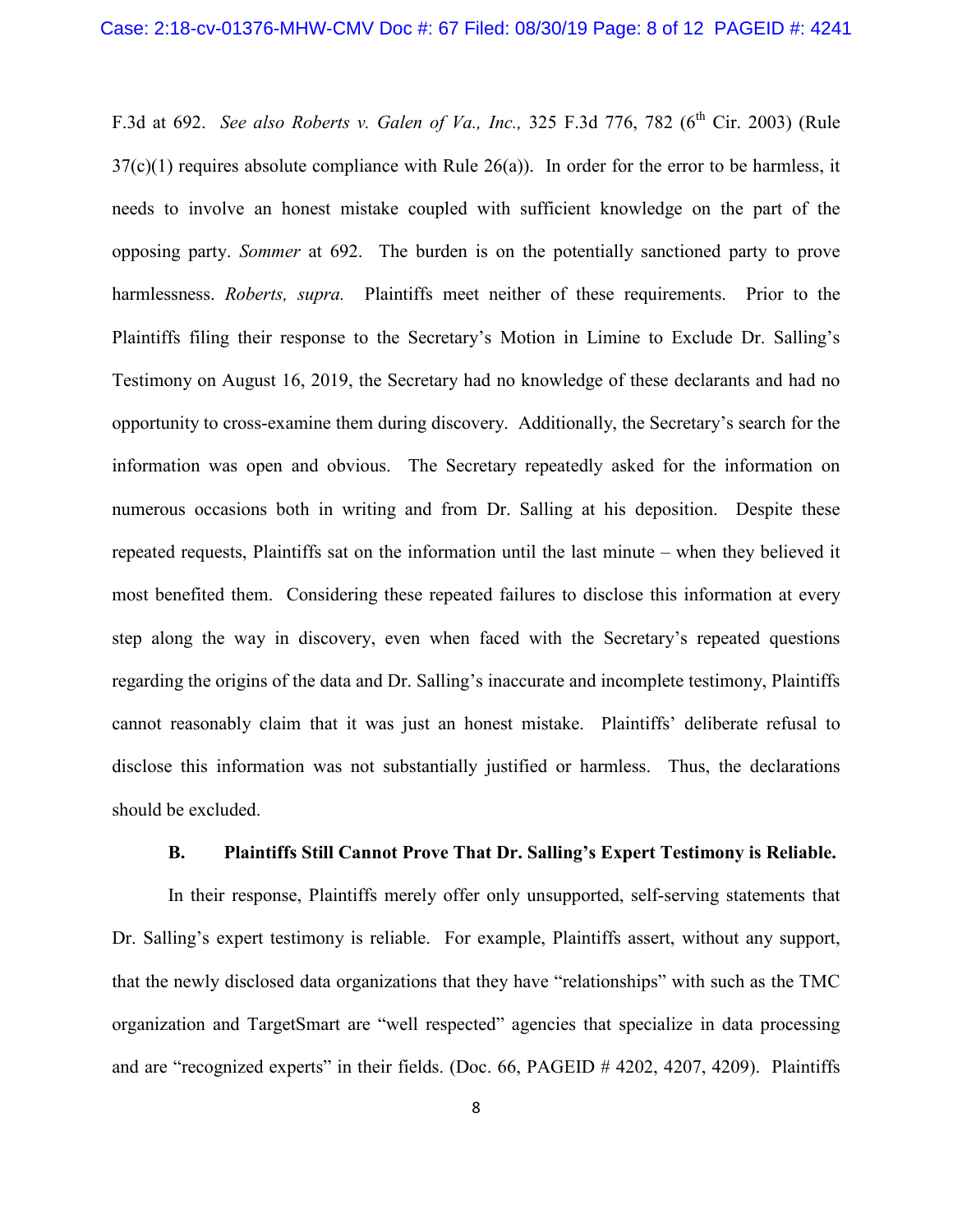F.3d at 692. *See also Roberts v. Galen of Va., Inc.*, 325 F.3d 776, 782 (6<sup>th</sup> Cir. 2003) (Rule  $37(c)(1)$  requires absolute compliance with Rule  $26(a)$ ). In order for the error to be harmless, it needs to involve an honest mistake coupled with sufficient knowledge on the part of the opposing party. *Sommer* at 692. The burden is on the potentially sanctioned party to prove harmlessness. *Roberts, supra.* Plaintiffs meet neither of these requirements. Prior to the Plaintiffs filing their response to the Secretary's Motion in Limine to Exclude Dr. Salling's Testimony on August 16, 2019, the Secretary had no knowledge of these declarants and had no opportunity to cross-examine them during discovery. Additionally, the Secretary's search for the information was open and obvious. The Secretary repeatedly asked for the information on numerous occasions both in writing and from Dr. Salling at his deposition. Despite these repeated requests, Plaintiffs sat on the information until the last minute – when they believed it most benefited them. Considering these repeated failures to disclose this information at every step along the way in discovery, even when faced with the Secretary's repeated questions regarding the origins of the data and Dr. Salling's inaccurate and incomplete testimony, Plaintiffs cannot reasonably claim that it was just an honest mistake. Plaintiffs' deliberate refusal to disclose this information was not substantially justified or harmless. Thus, the declarations should be excluded.

### **B. Plaintiffs Still Cannot Prove That Dr. Salling's Expert Testimony is Reliable.**

In their response, Plaintiffs merely offer only unsupported, self-serving statements that Dr. Salling's expert testimony is reliable. For example, Plaintiffs assert, without any support, that the newly disclosed data organizations that they have "relationships" with such as the TMC organization and TargetSmart are "well respected" agencies that specialize in data processing and are "recognized experts" in their fields. (Doc. 66, PAGEID # 4202, 4207, 4209). Plaintiffs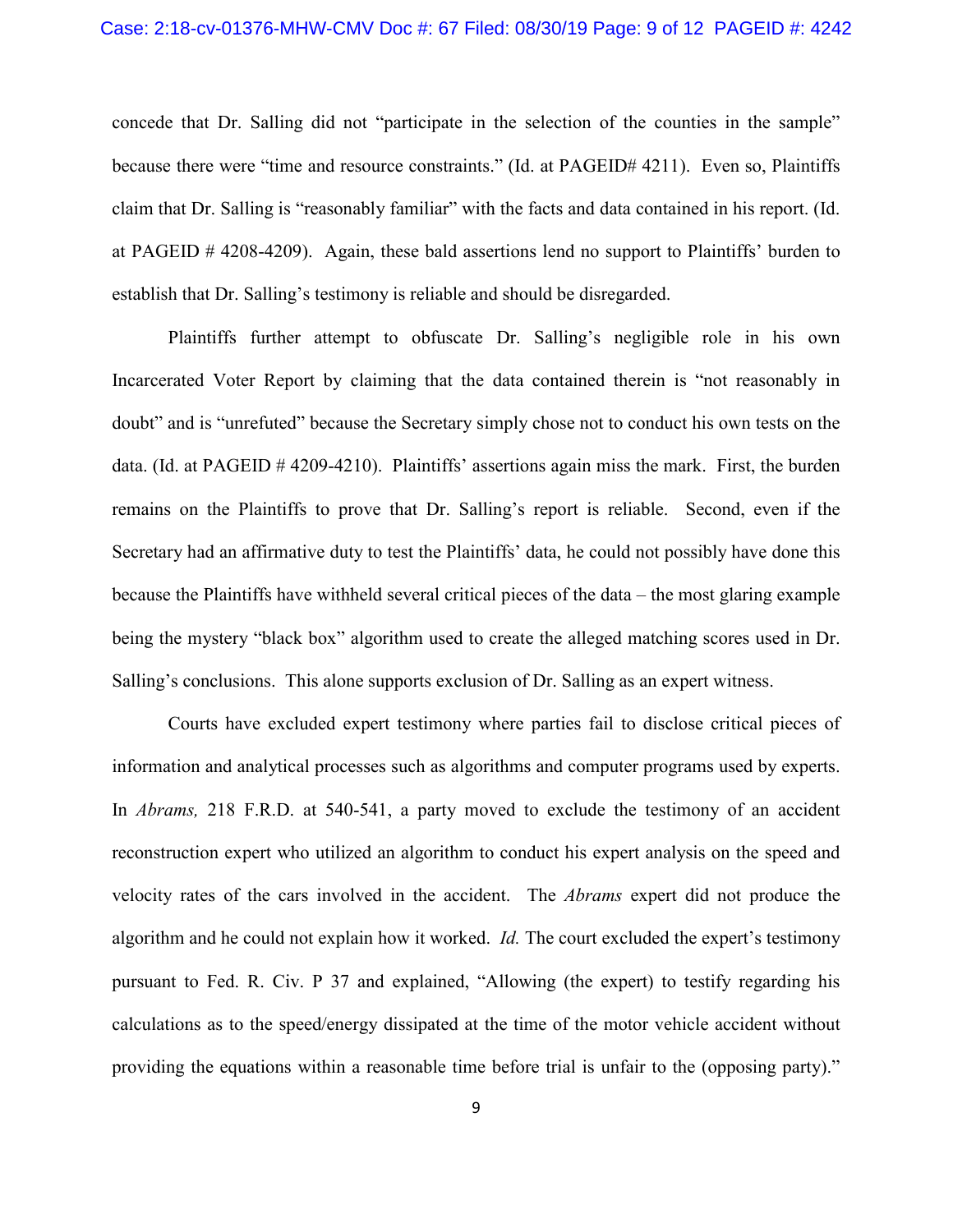concede that Dr. Salling did not "participate in the selection of the counties in the sample" because there were "time and resource constraints." (Id. at PAGEID# 4211). Even so, Plaintiffs claim that Dr. Salling is "reasonably familiar" with the facts and data contained in his report. (Id. at PAGEID # 4208-4209). Again, these bald assertions lend no support to Plaintiffs' burden to establish that Dr. Salling's testimony is reliable and should be disregarded.

Plaintiffs further attempt to obfuscate Dr. Salling's negligible role in his own Incarcerated Voter Report by claiming that the data contained therein is "not reasonably in doubt" and is "unrefuted" because the Secretary simply chose not to conduct his own tests on the data. (Id. at PAGEID # 4209-4210). Plaintiffs' assertions again miss the mark. First, the burden remains on the Plaintiffs to prove that Dr. Salling's report is reliable. Second, even if the Secretary had an affirmative duty to test the Plaintiffs' data, he could not possibly have done this because the Plaintiffs have withheld several critical pieces of the data – the most glaring example being the mystery "black box" algorithm used to create the alleged matching scores used in Dr. Salling's conclusions. This alone supports exclusion of Dr. Salling as an expert witness.

Courts have excluded expert testimony where parties fail to disclose critical pieces of information and analytical processes such as algorithms and computer programs used by experts. In *Abrams,* 218 F.R.D. at 540-541, a party moved to exclude the testimony of an accident reconstruction expert who utilized an algorithm to conduct his expert analysis on the speed and velocity rates of the cars involved in the accident. The *Abrams* expert did not produce the algorithm and he could not explain how it worked. *Id.* The court excluded the expert's testimony pursuant to Fed. R. Civ. P 37 and explained, "Allowing (the expert) to testify regarding his calculations as to the speed/energy dissipated at the time of the motor vehicle accident without providing the equations within a reasonable time before trial is unfair to the (opposing party)."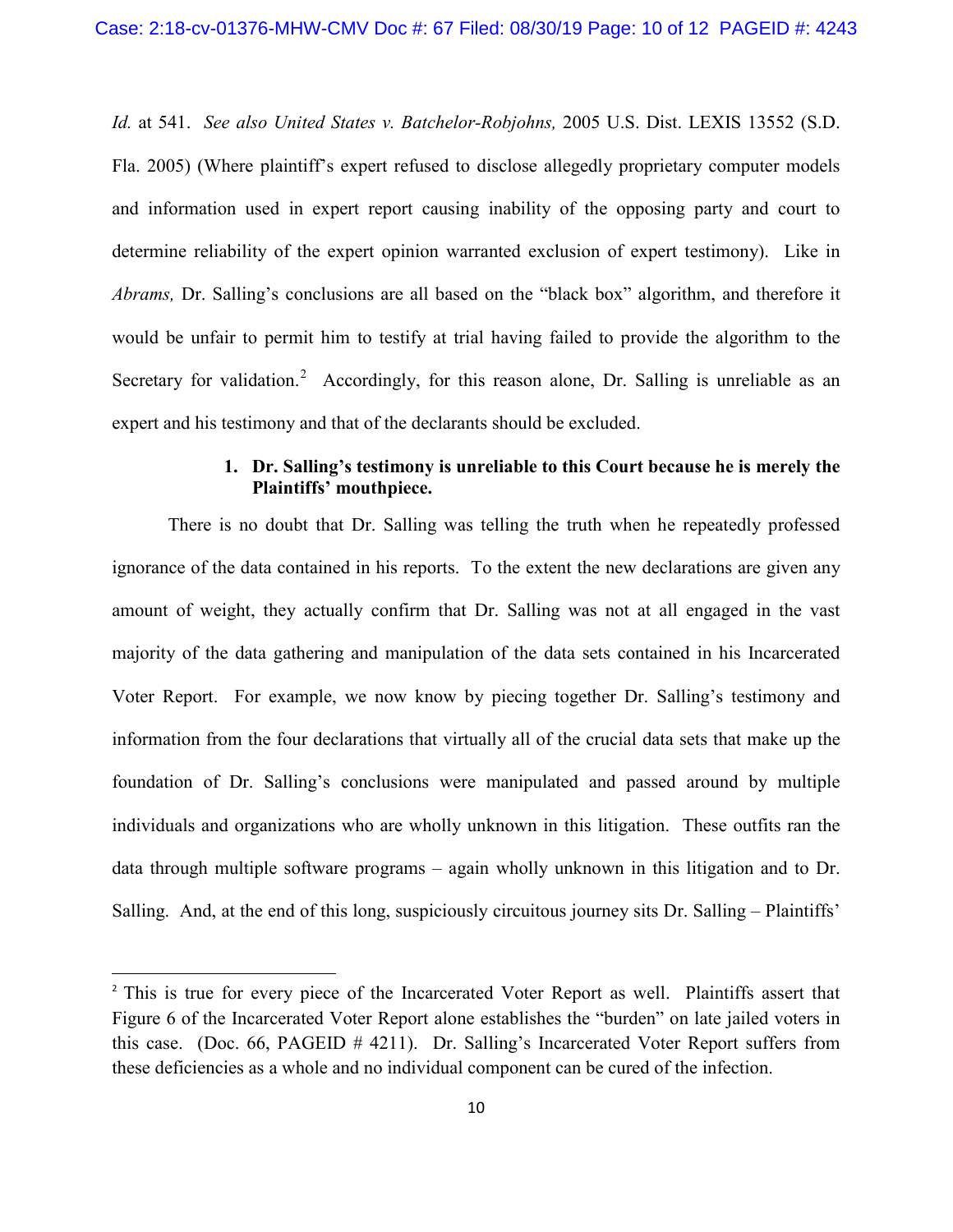*Id.* at 541. *See also United States v. Batchelor-Robjohns,* 2005 U.S. Dist. LEXIS 13552 (S.D. Fla. 2005) (Where plaintiff's expert refused to disclose allegedly proprietary computer models and information used in expert report causing inability of the opposing party and court to determine reliability of the expert opinion warranted exclusion of expert testimony). Like in *Abrams,* Dr. Salling's conclusions are all based on the "black box" algorithm, and therefore it would be unfair to permit him to testify at trial having failed to provide the algorithm to the Secretary for validation.<sup>[2](#page-9-0)</sup> Accordingly, for this reason alone, Dr. Salling is unreliable as an expert and his testimony and that of the declarants should be excluded.

### **1. Dr. Salling's testimony is unreliable to this Court because he is merely the Plaintiffs' mouthpiece.**

There is no doubt that Dr. Salling was telling the truth when he repeatedly professed ignorance of the data contained in his reports. To the extent the new declarations are given any amount of weight, they actually confirm that Dr. Salling was not at all engaged in the vast majority of the data gathering and manipulation of the data sets contained in his Incarcerated Voter Report. For example, we now know by piecing together Dr. Salling's testimony and information from the four declarations that virtually all of the crucial data sets that make up the foundation of Dr. Salling's conclusions were manipulated and passed around by multiple individuals and organizations who are wholly unknown in this litigation. These outfits ran the data through multiple software programs – again wholly unknown in this litigation and to Dr. Salling. And, at the end of this long, suspiciously circuitous journey sits Dr. Salling – Plaintiffs'

<span id="page-9-0"></span><sup>&</sup>lt;sup>2</sup> This is true for every piece of the Incarcerated Voter Report as well. Plaintiffs assert that Figure 6 of the Incarcerated Voter Report alone establishes the "burden" on late jailed voters in this case. (Doc. 66, PAGEID # 4211). Dr. Salling's Incarcerated Voter Report suffers from these deficiencies as a whole and no individual component can be cured of the infection.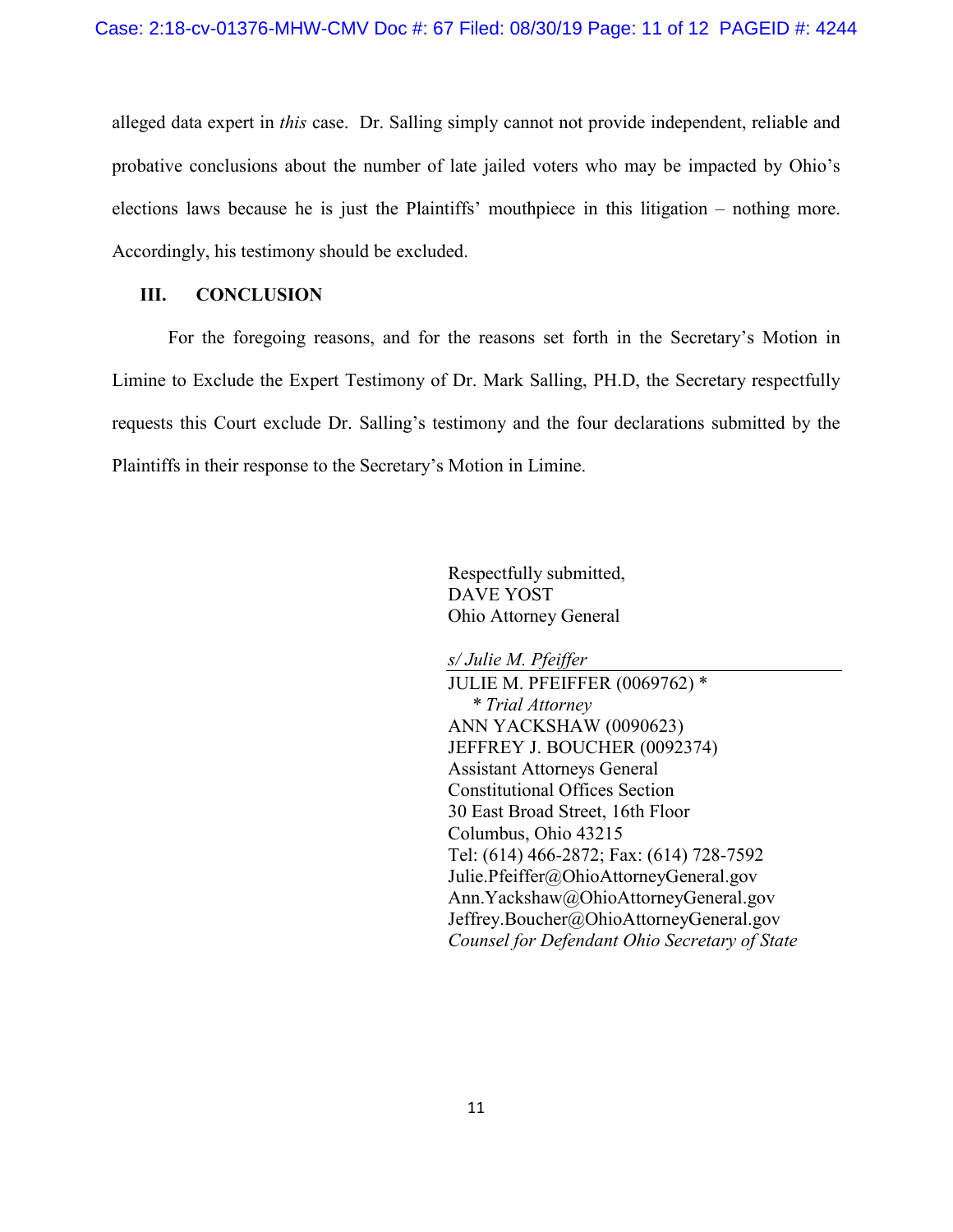alleged data expert in *this* case. Dr. Salling simply cannot not provide independent, reliable and probative conclusions about the number of late jailed voters who may be impacted by Ohio's elections laws because he is just the Plaintiffs' mouthpiece in this litigation – nothing more. Accordingly, his testimony should be excluded.

### **III. CONCLUSION**

For the foregoing reasons, and for the reasons set forth in the Secretary's Motion in Limine to Exclude the Expert Testimony of Dr. Mark Salling, PH.D, the Secretary respectfully requests this Court exclude Dr. Salling's testimony and the four declarations submitted by the Plaintiffs in their response to the Secretary's Motion in Limine.

> Respectfully submitted, DAVE YOST Ohio Attorney General

*s/ Julie M. Pfeiffer*

JULIE M. PFEIFFER (0069762) \* *\* Trial Attorney* ANN YACKSHAW (0090623) JEFFREY J. BOUCHER (0092374) Assistant Attorneys General Constitutional Offices Section 30 East Broad Street, 16th Floor Columbus, Ohio 43215 Tel: (614) 466-2872; Fax: (614) 728-7592 Julie.Pfeiffer@OhioAttorneyGeneral.gov Ann.Yackshaw@OhioAttorneyGeneral.gov Jeffrey.Boucher@OhioAttorneyGeneral.gov *Counsel for Defendant Ohio Secretary of State*